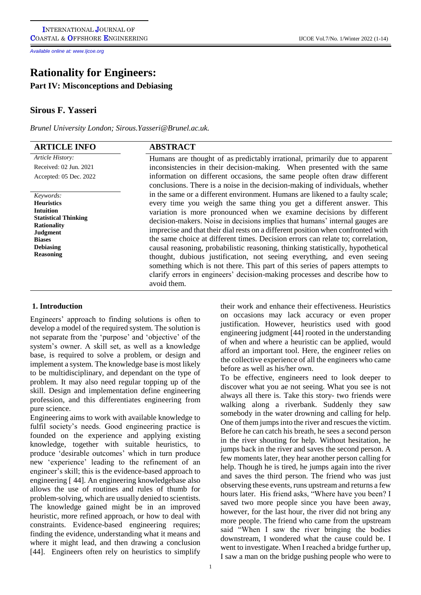*Available online at: www.Ijcoe.org*

# **Rationality for Engineers:**

**Part IV: Misconceptions and Debiasing**

## **Sirous F. Yasseri**

*Brunel University London; Sirou[s.Yasseri@Brunel.ac.uk.](mailto:Yasseri@Brunel.ac.uk.)* 

| <b>ARTICLE INFO</b>                               | <b>ABSTRACT</b>                                                                           |
|---------------------------------------------------|-------------------------------------------------------------------------------------------|
| Article History:                                  | Humans are thought of as predictably irrational, primarily due to apparent                |
| Received: 02 Jun. 2021                            | inconsistencies in their decision-making. When presented with the same                    |
| Accepted: 05 Dec. 2022                            | information on different occasions, the same people often draw different                  |
|                                                   | conclusions. There is a noise in the decision-making of individuals, whether              |
| Keywords:                                         | in the same or a different environment. Humans are likened to a faulty scale;             |
| <b>Heuristics</b>                                 | every time you weigh the same thing you get a different answer. This                      |
| <b>Intuition</b>                                  | variation is more pronounced when we examine decisions by different                       |
| <b>Statistical Thinking</b><br><b>Rationality</b> | decision-makers. Noise in decisions implies that humans' internal gauges are              |
| <b>Judgment</b>                                   | imprecise and that their dial rests on a different position when confronted with          |
| <b>Biases</b>                                     | the same choice at different times. Decision errors can relate to; correlation,           |
| <b>Debiasing</b>                                  | causal reasoning, probabilistic reasoning, thinking statistically, hypothetical           |
| <b>Reasoning</b>                                  | thought, dubious justification, not seeing everything, and even seeing                    |
|                                                   | something which is not there. This part of this series of papers attempts to              |
|                                                   | clarify errors in engineers' decision-making processes and describe how to<br>avoid them. |

#### **1. Introduction**

Engineers' approach to finding solutions is often to develop a model of the required system. The solution is not separate from the 'purpose' and 'objective' of the system's owner. A skill set, as well as a knowledge base, is required to solve a problem, or design and implement a system. The knowledge base is most likely to be multidisciplinary, and dependant on the type of problem. It may also need regular topping up of the skill. Design and implementation define engineering profession, and this differentiates engineering from pure science.

Engineering aims to work with available knowledge to fulfil society's needs. Good engineering practice is founded on the experience and applying existing knowledge, together with suitable heuristics, to produce 'desirable outcomes' which in turn produce new 'experience' leading to the refinement of an engineer's skill; this is the evidence-based approach to engineering [ 44]. An engineering knowledgebase also allows the use of routines and rules of thumb for problem-solving, which are usually denied to scientists. The knowledge gained might be in an improved heuristic, more refined approach, or how to deal with constraints. Evidence-based engineering requires; finding the evidence, understanding what it means and where it might lead, and then drawing a conclusion [44]. Engineers often rely on heuristics to simplify their work and enhance their effectiveness. Heuristics on occasions may lack accuracy or even proper justification. However, heuristics used with good engineering judgment [44] rooted in the understanding of when and where a heuristic can be applied, would afford an important tool. Here, the engineer relies on the collective experience of all the engineers who came before as well as his/her own.

To be effective, engineers need to look deeper to discover what you ae not seeing. What you see is not always all there is. Take this story- two friends were walking along a riverbank. Suddenly they saw somebody in the water drowning and calling for help. One of them jumps into the river and rescues the victim. Before he can catch his breath, he sees a second person in the river shouting for help. Without hesitation, he jumps back in the river and saves the second person. A few moments later, they hear another person calling for help. Though he is tired, he jumps again into the river and saves the third person. The friend who was just observing these events, runs upstream and returns a few hours later. His friend asks, "Where have you been? I saved two more people since you have been away, however, for the last hour, the river did not bring any more people. The friend who came from the upstream said "When I saw the river bringing the bodies downstream, I wondered what the cause could be. I went to investigate. When I reached a bridge further up, I saw a man on the bridge pushing people who were to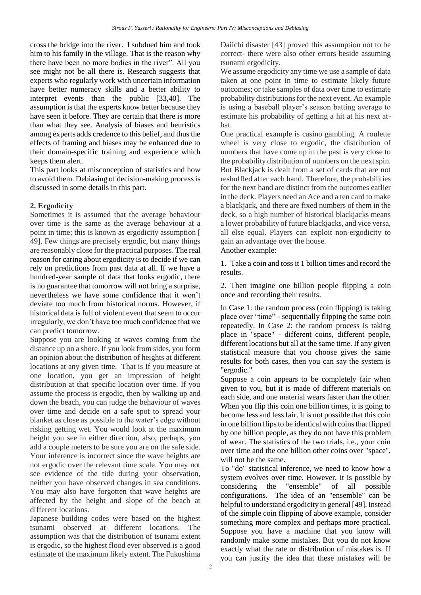cross the bridge into the river. I subdued him and took him to his family in the village. That is the reason why there have been no more bodies in the river". All you see might not be all there is. Research suggests that experts who regularly work with uncertain information have better numeracy skills and a better ability to interpret events than the public [33,40]. The assumption is that the experts know better because they have seen it before. They are certain that there is more than what they see. Analysis of biases and heuristics among experts adds credence to this belief, and thus the effects of framing and biases may be enhanced due to their domain-specific training and experience which keeps them alert.

This part looks at misconception of statistics and how to avoid them. Debiasing of decision-making process is discussed in some details in this part.

## **2. Ergodicity**

Sometimes it is assumed that the average behaviour over time is the same as the average behaviour at a point in time; this is known as ergodicity assumption [ 49]. Few things are precisely ergodic, but many things are reasonably close for the practical purposes. The real reason for caring about ergodicity is to decide if we can rely on predictions from past data at all. If we have a hundred-year sample of data that looks ergodic, there is no guarantee that tomorrow will not bring a surprise, nevertheless we have some confidence that it won't deviate too much from historical norms. However, if historical data is full of violent event that seem to occur irregularly, we don't have too much confidence that we can predict tomorrow.

Suppose you are looking at waves coming from the distance up on a shore. If you look from sides, you form an opinion about the distribution of heights at different locations at any given time. That is If you measure at one location, you get an impression of height distribution at that specific location over time. If you assume the process is ergodic, then by walking up and down the beach, you can judge the behaviour of waves over time and decide on a safe spot to spread your blanket as close as possible to the water's edge without risking getting wet. You would look at the maximum height you see in either direction, also, perhaps, you add a couple meters to be sure you are on the safe side. Your inference is incorrect since the wave heights are not ergodic over the relevant time scale. You may not see evidence of the tide during your observation, neither you have observed changes in sea conditions. You may also have forgotten that wave heights are affected by the height and slope of the beach at different locations.

Japanese building codes were based on the highest tsunami observed at different locations. The assumption was that the distribution of tsunami extent is ergodic, so the highest flood ever observed is a good estimate of the maximum likely extent. The Fukushima Daiichi disaster [43] proved this assumption not to be correct- there were also other errors beside assuming tsunami ergodicity.

We assume ergodicity any time we use a sample of data taken at one point in time to estimate likely future outcomes; or take samples of data over time to estimate probability distributions for the next event. An example is using a baseball player's season batting average to estimate his probability of getting a hit at his next atbat.

One practical example is casino gambling. A roulette wheel is very close to ergodic, the distribution of numbers that have come up in the past is very close to the probability distribution of numbers on the next spin. But Blackjack is dealt from a set of cards that are not reshuffled after each hand. Therefore, the probabilities for the next hand are distinct from the outcomes earlier in the deck. Players need an Ace and a ten card to make a blackjack, and there are fixed numbers of them in the deck, so a high number of historical blackjacks means a lower probability of future blackjacks, and vice versa, all else equal. Players can exploit non-ergodicity to gain an advantage over the house.

Another example:

1. Take a coin and toss it 1 billion times and record the results.

2. Then imagine one billion people flipping a coin once and recording their results.

In Case 1: the random process (coin flipping) is taking place over "time" - sequentially flipping the same coin repeatedly. In Case 2: the random process is taking place in "space" - different coins, different people, different locations but all at the same time. If any given statistical measure that you choose gives the same results for both cases, then you can say the system is "ergodic."

Suppose a coin appears to be completely fair when given to you, but it is made of different materials on each side, and one material wears faster than the other. When you flip this coin one billion times, it is going to become less and less fair. It is not possible that this coin in one billion flips to be identical with coins that flipped by one billion people, as they do not have this problem of wear. The statistics of the two trials, i.e., your coin over time and the one billion other coins over "space", will not be the same.

To "do" statistical inference, we need to know how a system evolves over time. However, it is possible by considering the "ensemble" of all possible configurations. The idea of an "ensemble" can be helpful to understand ergodicity in general [49]. Instead of the simple coin flipping of above example, consider something more complex and perhaps more practical. Suppose you have a machine that you know will randomly make some mistakes. But you do not know exactly what the rate or distribution of mistakes is. If you can justify the idea that these mistakes will be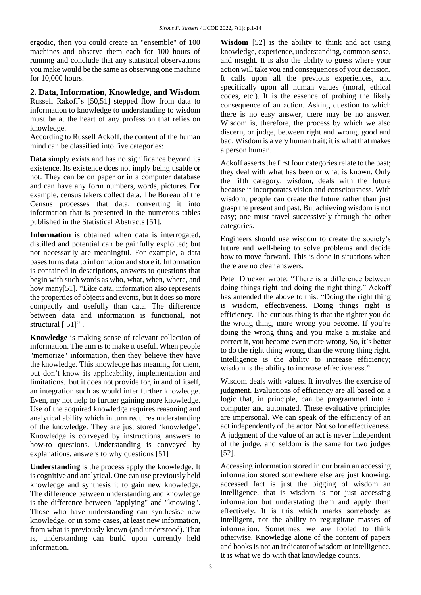ergodic, then you could create an "ensemble" of 100 machines and observe them each for 100 hours of running and conclude that any statistical observations you make would be the same as observing one machine for 10,000 hours.

**2. Data, Information, Knowledge, and Wisdom** Russell Rakoff's [50,51] stepped flow from data to information to knowledge to understanding to wisdom must be at the heart of any profession that relies on

knowledge. According to Russell Ackoff, the content of the human mind can be classified into five categories:

**Data** simply exists and has no significance beyond its existence. Its existence does not imply being usable or not. They can be on paper or in a computer database and can have any form numbers, words, pictures. For example, census takers collect data. The Bureau of the Census processes that data, converting it into information that is presented in the numerous tables published in the Statistical Abstracts [51].

**Information** is obtained when data is interrogated, distilled and potential can be gainfully exploited; but not necessarily are meaningful. For example, a data basesturns data to information and store it. Information is contained in descriptions, answers to questions that begin with such words as who, what, when, where, and how many[51]. "Like data, information also represents the properties of objects and events, but it does so more compactly and usefully than data. The difference between data and information is functional, not structural [51]".

**Knowledge** is making sense of relevant collection of information. The aim is to make it useful. When people "memorize" information, then they believe they have the knowledge. This knowledge has meaning for them, but don't know its applicability, implementation and limitations. but it does not provide for, in and of itself, an integration such as would infer further knowledge. Even, my not help to further gaining more knowledge. Use of the acquired knowledge requires reasoning and analytical ability which in turn requires understanding of the knowledge. They are just stored 'knowledge'. Knowledge is conveyed by instructions, answers to how-to questions. Understanding is conveyed by explanations, answers to why questions [51]

**Understanding** is the process apply the knowledge. It is cognitive and analytical. One can use previously held knowledge and synthesis it to gain new knowledge. The difference between understanding and knowledge is the difference between "applying" and "knowing". Those who have understanding can synthesise new knowledge, or in some cases, at least new information, from what is previously known (and understood). That is, understanding can build upon currently held information.

**Wisdom** [52] is the ability to think and act using knowledge, experience, understanding, common sense, and insight. It is also the ability to guess where your action will take you and consequences of your decision. It calls upon all the previous experiences, and specifically upon all human values (moral, ethical codes, etc.). It is the essence of probing the likely consequence of an action. Asking question to which there is no easy answer, there may be no answer. Wisdom is, therefore, the process by which we also discern, or judge, between right and wrong, good and bad. Wisdom is a very human trait; it is what that makes a person human.

Ackoff asserts the first four categories relate to the past; they deal with what has been or what is known. Only the fifth category, wisdom, deals with the future because it incorporates vision and consciousness. With wisdom, people can create the future rather than just grasp the present and past. But achieving wisdom is not easy; one must travel successively through the other categories.

Engineers should use wisdom to create the society's future and well-being to solve problems and decide how to move forward. This is done in situations when there are no clear answers.

Peter Drucker wrote: "There is a difference between doing things right and doing the right thing." Ackoff has amended the above to this: "Doing the right thing is wisdom, effectiveness. Doing things right is efficiency. The curious thing is that the righter you do the wrong thing, more wrong you become. If you're doing the wrong thing and you make a mistake and correct it, you become even more wrong. So, it's better to do the right thing wrong, than the wrong thing right. Intelligence is the ability to increase efficiency; wisdom is the ability to increase effectiveness."

Wisdom deals with values. It involves the exercise of judgment. Evaluations of efficiency are all based on a logic that, in principle, can be programmed into a computer and automated. These evaluative principles are impersonal. We can speak of the efficiency of an act independently of the actor. Not so for effectiveness. A judgment of the value of an act is never independent of the judge, and seldom is the same for two judges [52].

Accessing information stored in our brain an accessing information stored somewhere else are just knowing; accessed fact is just the bigging of wisdom an intelligence, that is wisdom is not just accessing information but understating them and apply them effectively. It is this which marks somebody as intelligent, not the ability to regurgitate masses of information. Sometimes we are fooled to think otherwise. Knowledge alone of the content of papers and books is not an indicator of wisdom or intelligence. It is what we do with that knowledge counts.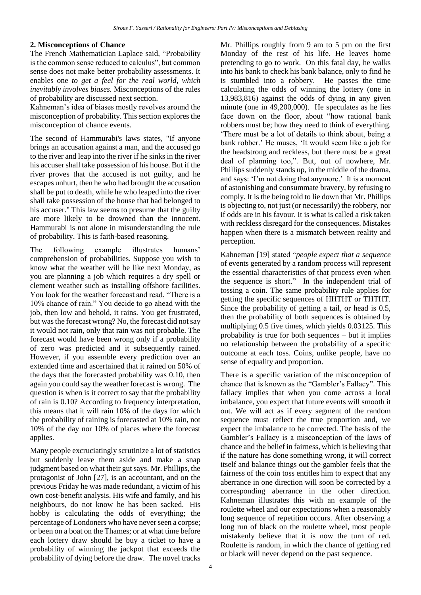#### **2. Misconceptions of Chance**

The French Mathematician Laplace said, "Probability is the common sense reduced to calculus", but common sense does not make better probability assessments. It enables one *to get a feel for the real world, which inevitably involves biases.* Misconceptions of the rules of probability are discussed next section.

Kahneman's idea of biases mostly revolves around the misconception of probability. This section explores the misconception of chance events.

The second of Hammurabi's laws states, "If anyone brings an accusation against a man, and the accused go to the river and leap into the river if he sinks in the river his accuser shall take possession of his house. But if the river proves that the accused is not guilty, and he escapes unhurt, then he who had brought the accusation shall be put to death, while he who leaped into the river shall take possession of the house that had belonged to his accuser." This law seems to presume that the guilty are more likely to be drowned than the innocent. Hammurabi is not alone in misunderstanding the rule of probability. This is faith-based reasoning.

The following example illustrates humans' comprehension of probabilities. Suppose you wish to know what the weather will be like next Monday, as you are planning a job which requires a dry spell or clement weather such as installing offshore facilities. You look for the weather forecast and read, "There is a 10% chance of rain." You decide to go ahead with the job, then low and behold, it rains. You get frustrated, but was the forecast wrong? No, the forecast did notsay it would not rain, only that rain was not probable. The forecast would have been wrong only if a probability of zero was predicted and it subsequently rained. However, if you assemble every prediction over an extended time and ascertained that it rained on 50% of the days that the forecasted probability was 0.10, then again you could say the weather forecast is wrong. The question is when is it correct to say that the probability of rain is 0.10? According to frequency interpretation, this means that it will rain 10% of the days for which the probability of raining is forecasted at 10% rain, not 10% of the day nor 10% of places where the forecast applies.

Many people excruciatingly scrutinize a lot of statistics but suddenly leave them aside and make a snap judgment based on what their gut says. Mr. Phillips, the protagonist of John [27], is an accountant, and on the previous Friday he was made redundant, a victim of his own cost-benefit analysis. His wife and family, and his neighbours, do not know he has been sacked. His hobby is calculating the odds of everything; the percentage of Londoners who have never seen a corpse; or been on a boat on the Thames; or at what time before each lottery draw should he buy a ticket to have a probability of winning the jackpot that exceeds the probability of dying before the draw. The novel tracks Mr. Phillips roughly from 9 am to 5 pm on the first Monday of the rest of his life. He leaves home pretending to go to work. On this fatal day, he walks into his bank to check his bank balance, only to find he is stumbled into a robbery. He passes the time calculating the odds of winning the lottery (one in 13,983,816) against the odds of dying in any given minute (one in 49,200,000). He speculates as he lies face down on the floor, about "how rational bank robbers must be; how they need to think of everything. 'There must be a lot of details to think about, being a bank robber.' He muses, 'It would seem like a job for the headstrong and reckless, but there must be a great deal of planning too,". But, out of nowhere, Mr. Phillips suddenly stands up, in the middle of the drama, and says: 'I'm not doing that anymore.' It is a moment of astonishing and consummate bravery, by refusing to comply. It is the being told to lie down that Mr. Phillips is objecting to, not just (or necessarily) the robbery, nor if odds are in his favour. It is what is called a risk taken with reckless disregard for the consequences. Mistakes happen when there is a mismatch between reality and perception.

Kahneman [19] stated "*people expect that a sequence*  of events generated by a random process will represent the essential characteristics of that process even when the sequence is short." In the independent trial of tossing a coin. The same probability rule applies for getting the specific sequences of HHTHT or THTHT. Since the probability of getting a tail, or head is 0.5, then the probability of both sequences is obtained by multiplying 0.5 five times, which yields 0.03125. This probability is true for both sequences – but it implies no relationship between the probability of a specific outcome at each toss. Coins, unlike people, have no sense of equality and proportion.

There is a specific variation of the misconception of chance that is known as the "Gambler's Fallacy". This fallacy implies that when you come across a local imbalance, you expect that future events will smooth it out. We will act as if every segment of the random sequence must reflect the true proportion and, we expect the imbalance to be corrected. The basis of the Gambler's Fallacy is a misconception of the laws of chance and the belief in fairness, which is believing that if the nature has done something wrong, it will correct itself and balance things out the gambler feels that the fairness of the coin toss entitles him to expect that any aberrance in one direction will soon be corrected by a corresponding aberrance in the other direction. Kahneman illustrates this with an example of the roulette wheel and our expectations when a reasonably long sequence of repetition occurs. After observing a long run of black on the roulette wheel, most people mistakenly believe that it is now the turn of red. Roulette is random, in which the chance of getting red or black will never depend on the past sequence.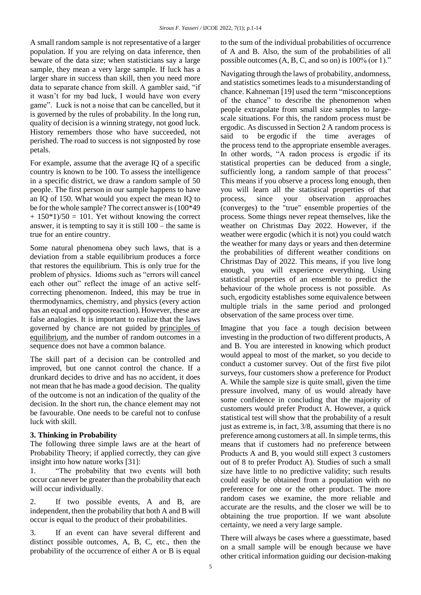[A small random sample](https://fs.blog/2013/05/mental-model-bias-from-insensitivity-to-sample-size/) is not representative of a larger population. If you are relying on data inference, then beware of the data size; when statisticians say a large sample, they mean a very large sample. If luck has a larger share in success than skill, then you need more data to separate chance from skill. A gambler said, "if it wasn't for my bad luck, I would have won every game". Luck is not a noise that can be cancelled, but it is governed by the rules of probability. In the long run, quality of decision is a winning strategy, not good luck. History remembers those who have succeeded, not perished. The road to success is not signposted by rose petals.

For example, assume that the average IQ of a specific country is known to be 100. To assess the intelligence in a specific district, we draw a random sample of 50 people. The first person in our sample happens to have an IQ of 150. What would you expect the mean IQ to be for the whole sample? The correct answer is (100\*49  $+ 150*1/50 = 101$ . Yet without knowing the correct answer, it is tempting to say it is still 100 – the same is true for an entire country.

Some natural phenomena obey such laws, that is a deviation from a stable equilibrium produces a force that restores the equilibrium. This is only true for the problem of physics. Idioms such as "errors will cancel each other out" reflect the image of an active selfcorrecting phenomenon. Indeed, this may be true in thermodynamics, chemistry, and physics (every action has an equal and opposite reaction). However, these are false analogies. It is important to realize that the laws governed by chance are not guided by [principles of](https://fs.blog/2013/01/mental-model-equilibrium/)  [equilibrium,](https://fs.blog/2013/01/mental-model-equilibrium/) and the number of random outcomes in a sequence does not have a common balance.

The skill part of a decision can be controlled and improved, but one cannot control the chance. If a drunkard decides to drive and has no accident, it does not mean that he has made a good decision. The quality of the outcome is not an indication of the quality of the decision. In the short run, the chance element may not be favourable. One needs to be careful not to confuse luck with skill.

## **3. Thinking in Probability**

The following three simple laws are at the heart of Probability Theory; if applied correctly, they can give insight into how nature works [31]:

1. "The probability that two events will both occur can never be greater than the probability that each will occur individually.

2. If two possible events, A and B, are independent, then the probability that both A and B will occur is equal to the product of their probabilities.

3. If an event can have several different and distinct possible outcomes, A, B, C, etc., then the probability of the occurrence of either A or B is equal to the sum of the individual probabilities of occurrence of A and B. Also, the sum of the probabilities of all possible outcomes (A, B, C, and so on) is 100% (or 1)."

Navigating through the laws of probability, andomness, and statistics sometimes leads to a misunderstanding of chance. Kahneman [19] used the term "misconceptions of the chance" to describe the phenomenon when people extrapolate from small size samples to largescale situations. For this, the random process must be ergodic. As discussed in Section 2 A random process is said to be ergodic if the time averages of the process tend to the appropriate ensemble averages. In other words, "A radon process is ergodic if its statistical properties can be deduced from a single, sufficiently long, a random sample of that process" This means if you observe a process long enough, then you will learn all the statistical properties of that process, since your observation approaches (converges) to the "true" ensemble properties of the process. Some things never repeat themselves, like the weather on Christmas Day 2022. However, if the weather were ergodic (which it is not) you could watch the weather for many days or years and then determine the probabilities of different weather conditions on Christmas Day of 2022. This means, if you live long enough, you will experience everything. Using statistical properties of an ensemble to predict the behaviour of the whole process is not possible. As such, ergodicity establishes some equivalence between multiple trials in the same period and prolonged observation of the same process over time.

Imagine that you face a tough decision between investing in the production of two different products, A and B. You are interested in knowing which product would appeal to most of the market, so you decide to conduct a customer survey. Out of the first five pilot surveys, four customers show a preference for Product A. While the sample size is quite small, given the time pressure involved, many of us would already have some confidence in concluding that the majority of customers would prefer Product A. However, a quick statistical test will show that the probability of a result just as extreme is, in fact, 3/8, assuming that there is no preference among customers at all. In simple terms, this means that if customers had no preference between Products A and B, you would still expect 3 customers out of 8 to prefer Product A). Studies of such a small size have little to no predictive validity; such results could easily be obtained from a population with no preference for one or the other product. The more random cases we examine, the more reliable and accurate are the results, and the closer we will be to obtaining the true proportion. If we want absolute certainty, we need a very large sample.

There will always be cases where a guesstimate, based on a small sample will be enough because we have other critical information guiding our decision-making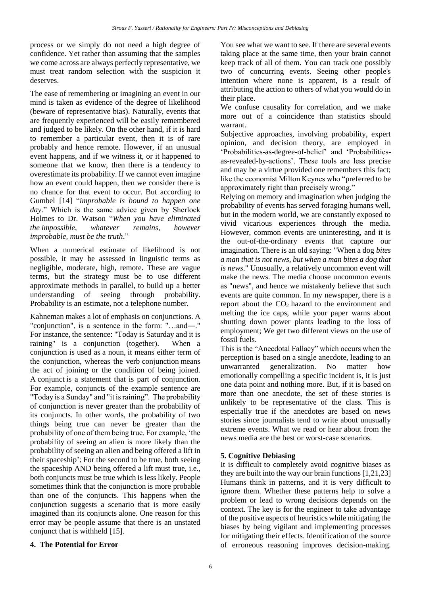process or we simply do not need a high degree of confidence. Yet rather than assuming that the samples we come across are always perfectly representative, we must treat random selection with the suspicion it deserves.

The ease of remembering or imagining an event in our mind is taken as evidence of the degree of likelihood (beware of representative bias). Naturally, events that are frequently experienced will be easily remembered and judged to be likely. On the other hand, if it is hard to remember a particular event, then it is of rare probably and hence remote. However, if an unusual event happens, and if we witness it, or it happened to someone that we know, then there is a tendency to overestimate its probability. If we cannot even imagine how an event could happen, then we consider there is no chance for that event to occur. But according to Gumbel [14] "*improbable is bound to happen one day*." Which is the same advice given by Sherlock Holmes to Dr. Watson "*When you have eliminated the impossible, whatever remains, however improbable, must be the truth*."

When a numerical estimate of likelihood is not possible, it may be assessed in linguistic terms as negligible, moderate, high, remote. These are vague terms, but the strategy must be to use different approximate methods in parallel, to build up a better understanding of seeing through probability. Probability is an estimate, not a telephone number.

Kahneman makes a lot of emphasis on conjunctions. A ["conjunction"](https://www.fallacyfiles.org/glossary.html#Conjunction), is a sentence in the form: "…and―." For instance, the sentence: "Today is Saturday and it is raining" is a conjunction (together). When a conjunction is used as a noun, it means either term of the conjunction, whereas the verb conjunction means the act of joining or the condition of being joined. A [conjunct](https://www.fallacyfiles.org/glossary.html#Conjunct) is a statement that is part of conjunction. For example, conjuncts of the example sentence are "Today is a Sunday" and "it is raining". The probability of conjunction is never greater than the probability of its conjuncts. In other words, the probability of two things being true can never be greater than the probability of one of them being true. For example, 'the probability of seeing an alien is more likely than the probability of seeing an alien and being offered a lift in their spaceship'; For the second to be true, both seeing the spaceship AND being offered a lift must true, i.e., both conjuncts must be true which is less likely. People sometimes think that the conjunction is more probable than one of the conjuncts. This happens when the conjunction suggests a scenario that is more easily imagined than its conjuncts alone. One reason for this error may be people assume that there is an unstated conjunct that is withheld [15].

You see what we want to see. If there are several events taking place at the same time, then your brain cannot keep track of all of them. You can track one possibly two of concurring events. Seeing other people's intention where none is apparent, is a result of attributing the action to others of what you would do in their place.

We confuse causality for correlation, and we make more out of a coincidence than statistics should warrant.

Subjective approaches, involving probability, expert opinion, and decision theory, are employed in 'Probabilities-as-degree-of-belief' and 'Probabilitiesas-revealed-by-actions'. These tools are less precise and may be a virtue provided one remembers this fact; like the economist Milton Keynes who "preferred to be approximately right than precisely wrong."

Relying on memory and imagination when judging the probability of events has served foraging humans well, but in the modern world, we are constantly exposed to vivid vicarious experiences through the media. However, common events are uninteresting, and it is the out-of-the-ordinary events that capture our imagination. There is an old saying: "When a dog *bites a man that is not news, but when a man bites a dog that is news*." Unusually, a relatively uncommon event will make the news. The media choose uncommon events as "news", and hence we mistakenly believe that such events are quite common. In my newspaper, there is a report about the  $CO<sub>2</sub>$  hazard to the environment and melting the ice caps, while your paper warns about shutting down power plants leading to the loss of employment; We get two different views on the use of fossil fuels.

This is the "Anecdotal Fallacy" which occurs when the perception is based on a single anecdote, leading to an unwarranted generalization. No matter how emotionally compelling a specific incident is, it is just one data point and nothing more. But, if it is based on more than one anecdote, the set of these stories is unlikely to be representative of the class. This is especially true if the anecdotes are based on news stories since journalists tend to write about unusually extreme events. What we read or hear about from the news media are the best or worst-case scenarios.

## **5. Cognitive Debiasing**

It is difficult to completely avoid cognitive biases as they are built into the way our brain functions [1,21,23] Humans think in patterns, and it is very difficult to ignore them. Whether these patterns help to solve a problem or lead to wrong decisions depends on the context. The key is for the engineer to take advantage of the positive aspects of heuristics while mitigating the biases by being vigilant and implementing processes for mitigating their effects. Identification of the source of erroneous reasoning improves decision-making.

## **4. The Potential for Error**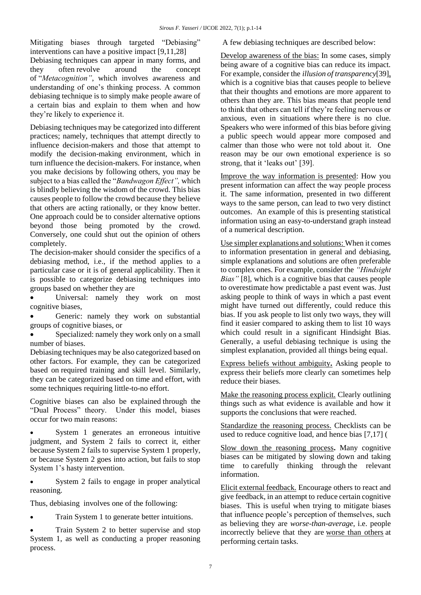Mitigating biases through targeted "Debiasing" interventions can have a positive impact [9,11,28]

Debiasing techniques can appear in many forms, and they often revolve around the concept of "*Metacognition"*, which involves awareness and understanding of one's thinking process. A common debiasing technique is to simply make people aware of a certain bias and explain to them when and how they're likely to experience it.

Debiasing techniques may be categorized into different practices; namely, techniques that attempt directly to influence decision-makers and those that attempt to modify the decision-making environment, which in turn influence the decision-makers. For instance, when you make decisions by following others, you may be subject to a bias called the "*Bandwagon Effect",* which is blindly believing the wisdom of the crowd. This bias causes people to follow the crowd because they believe that others are acting rationally, or they know better. One approach could be to consider alternative options beyond those being promoted by the crowd. Conversely, one could shut out the opinion of others completely.

The decision-maker should consider the specifics of a debiasing method, i.e., if the method applies to a particular case or it is of general applicability. Then it is possible to categorize debiasing techniques into groups based on whether they are

 Universal: namely they work on most cognitive biases,

 Generic: namely they work on substantial groups of cognitive biases, or

 Specialized: namely they work only on a small number of biases.

Debiasing techniques may be also categorized based on other factors. For example, they can be categorized based on required training and skill level. Similarly, they can be categorized based on time and effort, with some techniques requiring little-to-no effort.

Cognitive biases can also be [explained](http://web.archive.org/web/20200629125858/https:/www.nobelprize.org/prizes/economic-sciences/2002/kahneman/lecture/) through the "Dual Process" theory. Under this model, biases occur [for two main reasons:](https://doi.org/10.1111/j.1747-9991.2010.00330.x)

 System 1 generates an erroneous intuitive judgment, and System 2 fails to correct it, either because System 2 fails to supervise System 1 properly, or because System 2 goes into action, but fails to stop System 1's hasty intervention.

 System 2 fails to engage in proper analytical reasoning.

Thus, debiasing [involves](https://doi.org/10.1002/9781118468333.ch33) one of the following:

• Train System 1 to generate better intuitions.

 Train System 2 to better supervise and stop System 1, as well as conducting a proper reasoning process.

A few debiasing techniques are described below:

Develop awareness of the bias: In some cases, simply being aware of a cognitive bias can reduce its impact. For example, consider the *[illusion of transparency](https://effectiviology.com/illusion-of-transparency/)*[39], which is a cognitive bias that causes people to believe that their thoughts and emotions are more apparent to others than they are. This bias means that people tend to think that others can tell if they're feeling nervous or anxious, even in situations where [there](https://doi.org/10.1037/0022-3514.75.2.332) is no clue. Speakers who were informed of this bias before giving a public speech would appear more composed and calmer than those who were not told about it. One reason may be our own emotional experience is so strong, that it 'leaks out' [39].

Improve the way information is presented: How you present information can affect the way people process it. The same information, presented in two different ways to the same person, can lead to two very distinct outcomes. An example of this is presenting statistical information using an easy-to-understand graph instead of a numerical description.

Use simpler explanations and solutions: When it comes to information presentation in general and debiasing, simple explanations and solutions are often preferable to complex ones. For example, consider the *"Hindsight Bias"* [8]*,* which is a cognitive bias that causes people to [overestimate](https://doi.org/10.1016/0749-5978(91)90010-Q) how predictable a past event was. Just asking people to think of ways in which a past event might have turned out differently, could reduce this bias. If you ask people to list only two ways, they will find it easier compared to asking them to list 10 ways which could result in a significant Hindsight Bias. Generally, a useful debiasing technique is using the simplest explanation, provided all things being equal.

Express beliefs without ambiguity**.** Asking people to express their beliefs more clearly can sometimes help reduce their biases.

Make the reasoning process explicit. Clearly outlining things such as what evidence is available and how it supports the conclusions that were reached.

Standardize the reasoning process. Checklists can be used to reduce cognitive load, and hence bias [7,17] (

Slow down the reasoning process**.** Many cognitive biases can be mitigated by slowing down and taking time to [carefully thinking through](https://doi.org/10.1177%2F0011000095233009) the relevant information.

Elicit external feedback. Encourage others to react and give feedback, in an attempt to reduce certain cognitive biases. This is useful when trying to mitigate biases that influence people's perception of themselves, such as believing they are *worse-than-average*, i.e. people incorrectly believe that they are [worse than others](https://doi.org/10.1037%2F0022-3514.77.2.221) at performing certain tasks.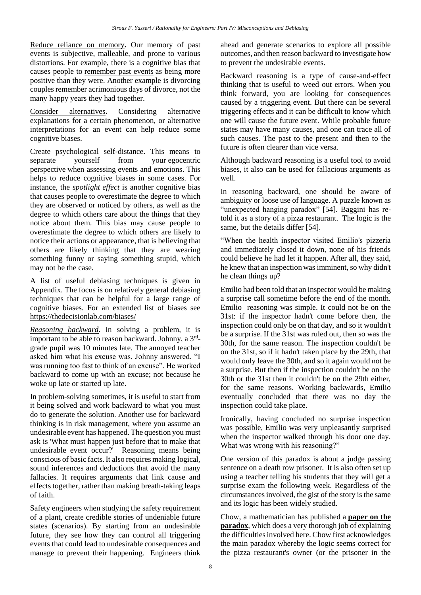Reduce reliance on memory**.** Our memory of past events is subjective, malleable, and prone to various distortions. For example, there is a cognitive bias that causes people to [remember past events](https://doi.org/10.1006/jesp.1997.1333) as being more positive than they were. Another example is divorcing couples remember acrimonious days of divorce, not the many happy years they had together.

Consider alternatives**.** Considering alternative explanations for a certain phenomenon, or alternative interpretations for an event can help reduce some cognitive biases.

Create psychological self-distance**.** This means to separate yourself from your egocentric [perspective](https://effectiviology.com/egocentric-bias/) when assessing events and emotions. This helps to reduce cognitive biases in some cases. For instance, the *[spotlight effect](https://effectiviology.com/spotlight-effect-stop-being-self-conscious/)* is another cognitive bias that causes people [to overestimate](https://doi.org/10.1006/jesp.2001.1490) the degree to which they are observed or noticed by others, as well as the degree to which others care about the things that they notice about them. This bias may cause people to overestimate the degree to which others are likely to notice their [actions or appearance,](https://doi.org/10.1006/jesp.2001.1490) that is believing that others are likely thinking that they are wearing something funny or [saying something stupid,](https://doi.org/10.1037/0022-3514.78.2.211) which may not be the case.

A list of useful debiasing techniques is given in Appendix. The focus is on relatively general debiasing techniques that can be helpful for a large range of cognitive biases. For an extended list of biases see <https://thedecisionlab.com/biases/>

*Reasoning backward*. In solving a problem, it is important to be able to reason backward. Johnny, a 3rdgrade pupil was 10 minutes late. The annoyed teacher asked him what his excuse was. Johnny answered, "I was running too fast to think of an excuse". He worked backward to come up with an excuse; not because he woke up late or started up late.

In problem-solving sometimes, it is useful to start from it being solved and work backward to what you must do to generate the solution. Another use for backward thinking is in risk management, where you assume an undesirable event has happened. The question you must ask is 'What must happen just before that to make that undesirable event occur?' Reasoning means being conscious of basic facts. It also requires making logical, sound inferences and deductions that avoid the many fallacies. It requires arguments that link cause and effects together, rather than making breath-taking leaps of faith.

Safety engineers when studying the safety requirement of a plant, create credible stories of undeniable future states (scenarios). By starting from an undesirable future, they see how they can control all triggering events that could lead to undesirable consequences and manage to prevent their happening. Engineers think ahead and generate scenarios to explore all possible outcomes, and then reason backward to investigate how to prevent the undesirable events.

Backward reasoning is a type of cause-and-effect thinking that is useful to weed out errors. When you think forward, you are looking for consequences caused by a triggering event. But there can be several triggering effects and it can be difficult to know which one will cause the future event. While probable future states may have many causes, and one can trace all of such causes. The past to the present and then to the future is often clearer than vice versa.

Although backward reasoning is a useful tool to avoid biases, it also can be used for fallacious arguments as well.

In reasoning backward, one should be aware of ambiguity or loose use of language. A puzzle known as "unexpected hanging paradox" [54]. Baggini has retold it as a story of a pizza restaurant. The logic is the same, but the details differ [54].

"When the health inspector visited Emilio's pizzeria and immediately closed it down, none of his friends could believe he had let it happen. After all, they said, he knew that an inspection was imminent, so why didn't he clean things up?

Emilio had been told that an inspector would be making a surprise call sometime before the end of the month. Emilio reasoning was simple. It could not be on the 31st: if the inspector hadn't come before then, the inspection could only be on that day, and so it wouldn't be a surprise. If the 31st was ruled out, then so was the 30th, for the same reason. The inspection couldn't be on the 31st, so if it hadn't taken place by the 29th, that would only leave the 30th, and so it again would not be a surprise. But then if the inspection couldn't be on the 30th or the 31st then it couldn't be on the 29th either, for the same reasons. Working backwards, Emilio eventually concluded that there was no day the inspection could take place.

Ironically, having concluded no surprise inspection was possible, Emilio was very unpleasantly surprised when the inspector walked through his door one day. What was wrong with his reasoning?"

One version of this paradox is about a judge passing sentence on a death row prisoner. It is also often set up using a teacher telling his students that they will get a surprise exam the following week. Regardless of the circumstances involved, the gist of the story is the same and its logic has been widely studied.

Chow, a mathematician has published a **[paper on the](http://www-math.mit.edu/~tchow/unexpected.pdf)  [paradox](http://www-math.mit.edu/~tchow/unexpected.pdf)**, which does a very thorough job of explaining the difficulties involved here. Chow first acknowledges the main paradox whereby the logic seems correct for the pizza restaurant's owner (or the prisoner in the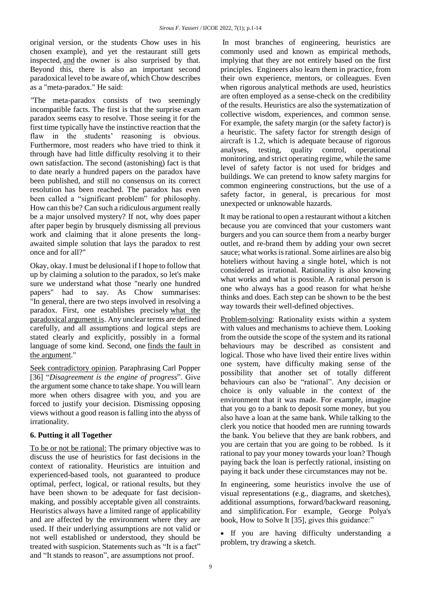original version, or the students Chow uses in his chosen example), and yet the restaurant still gets inspected, and the owner is also surprised by that. Beyond this, there is also an important second paradoxical level to be aware of, which Chow describes as a "meta-paradox." He said:

*"*The meta-paradox consists of two seemingly incompatible facts. The first is that the surprise exam paradox seems easy to resolve. Those seeing it for the first time typically have the instinctive reaction that the flaw in the students' reasoning is obvious. Furthermore, most readers who have tried to think it through have had little difficulty resolving it to their own satisfaction. The second (astonishing) fact is that to date nearly a hundred papers on the paradox have been published, and still no consensus on its correct resolution has been reached. The paradox has even been called a "significant problem" for philosophy. How can this be? Can such a ridiculous argument really be a major unsolved mystery? If not, why does paper after paper begin by brusquely dismissing all previous work and claiming that it alone presents the longawaited simple solution that lays the paradox to rest once and for all?"

Okay, okay. I must be delusional if I hope to follow that up by claiming a solution to the paradox, so let's make sure we understand what those "nearly one hundred papers" had to say. As Chow summarises: "In general, there are two steps involved in resolving a paradox. First, one establishes precisely what the paradoxical argument is. Any unclear terms are defined carefully, and all assumptions and logical steps are stated clearly and explicitly, possibly in a formal language of some kind. Second, one finds the fault in the argument."

Seek contradictory opinion*.* Paraphrasing Carl Popper [36] "*Disagreement is the engine of progress*". Give the argument some chance to take shape. You will learn more when others disagree with you, and you are forced to justify your decision. Dismissing opposing views without a good reason is falling into the abyss of irrationality.

## **6. Putting it all Together**

To be or not be rational: The primary objective was to discuss the use of heuristics for fast decisions in the context of rationality. Heuristics are intuition and experienced-based tools, not guaranteed to produce optimal, perfect, logical, or rational results, but they have been shown to be adequate for fast decisionmaking, and possibly acceptable given all constraints. Heuristics always have a limited range of applicability and are affected by the environment where they are used. If their underlying assumptions are not valid or not well established or understood, they should be treated with suspicion. Statements such as "It is a fact" and "It stands to reason", are assumptions not proof.

In most branches of engineering, heuristics are commonly used and known as empirical methods, implying that they are not entirely based on the first principles. Engineers also learn them in practice, from their own experience, mentors, or colleagues. Even when rigorous analytical methods are used, heuristics are often employed as a sense-check on the credibility of the results. Heuristics are also the systematization of collective wisdom, experiences, and common sense. For example, the safety margin (or the safety factor) is a heuristic. The safety factor for strength design of aircraft is 1.2, which is adequate because of rigorous analyses, testing, quality control, operational monitoring, and strict operating regime, while the same level of safety factor is not used for bridges and buildings. We can pretend to know safety margins for common engineering constructions, but the use of a safety factor, in general, is precarious for most unexpected or unknowable hazards.

It may be rational to open a restaurant without a kitchen because you are convinced that your customers want burgers and you can source them from a nearby burger outlet, and re-brand them by adding your own secret sauce; what works is rational. Some airlines are also big hoteliers without having a single hotel, which is not considered as irrational. Rationality is also knowing what works and what is possible. A rational person is one who always has a good reason for what he/she thinks and does. Each step can be shown to be the best way towards their well-defined objectives.

Problem-solving: Rationality exists within a system with values and mechanisms to achieve them. Looking from the outside the scope of the system and its rational behaviours may be described as consistent and logical. Those who have lived their entire lives within one system, have difficulty making sense of the possibility that another set of totally different behaviours can also be "rational". Any decision or choice is only valuable in the context of the environment that it was made. For example, imagine that you go to a bank to deposit some money, but you also have a loan at the same bank. While talking to the clerk you notice that hooded men are running towards the bank. You believe that they are bank robbers, and you are certain that you are going to be robbed. Is it rational to pay your money towards your loan? Though paying back the loan is perfectly rational, insisting on paying it back under these circumstances may not be.

In engineering, some heuristics involve the use of visual representations (e.g., diagrams, and sketches), additional assumptions, forward/backward reasoning, and simplification. For example, [George](https://en.wikipedia.org/wiki/George_P%C3%B3lya) Polya's book, [How to Solve It](https://en.wikipedia.org/wiki/How_to_Solve_It) [35], gives this guidance:"

 If you are having difficulty understanding a problem, try drawing a sketch.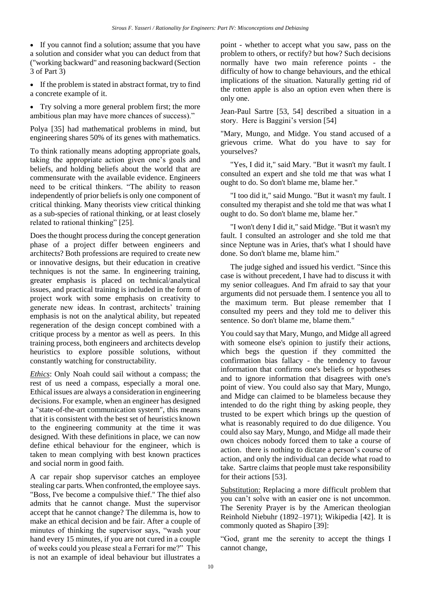• If you cannot find a solution; assume that you have a solution and consider what you can deduct from that ("working backward" and reasoning backward (Section 3 of Part 3)

 If the problem is stated in abstract format, try to find a concrete example of it.

• Try solving a more general problem first; the more ambitious plan may have more chances of success)."

Polya [35] had mathematical problems in mind, but engineering shares 50% of its genes with mathematics.

To think rationally means adopting appropriate goals, taking the appropriate action given one's goals and beliefs, and holding beliefs about the world that are commensurate with the available evidence. Engineers need to be critical thinkers. "The ability to reason independently of prior beliefs is only one component of critical thinking. Many theorists view critical thinking as a sub-species of rational thinking, or at least closely related to rational thinking" [25].

Does the thought process during the concept generation phase of a project differ between engineers and architects? Both professions are required to create new or innovative designs, but their education in creative techniques is not the same. In engineering training, greater emphasis is placed on technical/analytical issues, and practical training is included in the form of project work with some emphasis on creativity to generate new ideas. In contrast, architects' training emphasis is not on the analytical ability, but repeated regeneration of the design concept combined with a critique process by a mentor as well as peers. In this training process, both engineers and architects develop heuristics to explore possible solutions, without constantly watching for constructability.

*Ethics*: Only Noah could sail without a compass; the rest of us need a compass, especially a moral one. Ethical issues are always a consideration in engineering decisions. For example, when an engineer has designed a "state-of-the-art communication system", this means that it is consistent with the best set of heuristics known to the engineering community at the time it was designed. With these definitions in place, we can now define ethical behaviour for the engineer, which is taken to mean complying with best known practices and social norm in good faith.

A car repair shop supervisor catches an employee stealing car parts. When confronted, the employee says. "Boss, I've become a compulsive thief." The thief also admits that he cannot change. Must the supervisor accept that he cannot change? The dilemma is, how to make an ethical decision and be fair. After a couple of minutes of thinking the supervisor says, "wash your hand every 15 minutes, if you are not cured in a couple of weeks could you please steal a Ferrari for me?" This is not an example of ideal behaviour but illustrates a

point - whether to accept what you saw, pass on the problem to others, or rectify? but how? Such decisions normally have two main reference points - the difficulty of how to change behaviours, and the ethical implications of the situation. Naturally getting rid of the rotten apple is also an option even when there is only one.

Jean-Paul Sartre [53, 54] described a situation in a story. Here is Baggini's version [54]

"Mary, Mungo, and Midge. You stand accused of a grievous crime. What do you have to say for yourselves?

 "Yes, I did it," said Mary. "But it wasn't my fault. I consulted an expert and she told me that was what I ought to do. So don't blame me, blame her."

 "I too did it," said Mungo. "But it wasn't my fault. I consulted my therapist and she told me that was what I ought to do. So don't blame me, blame her."

 "I won't deny I did it," said Midge. "But it wasn't my fault. I consulted an astrologer and she told me that since Neptune was in Aries, that's what I should have done. So don't blame me, blame him."

 The judge sighed and issued his verdict. "Since this case is without precedent, I have had to discuss it with my senior colleagues. And I'm afraid to say that your arguments did not persuade them. I sentence you all to the maximum term. But please remember that I consulted my peers and they told me to deliver this sentence. So don't blame me, blame them."

You could say that Mary, Mungo, and Midge all agreed with someone else's opinion to justify their actions, which begs the question if they committed the confirmation bias fallacy - the tendency to favour information that confirms one's beliefs or hypotheses and to ignore information that disagrees with one's point of view. You could also say that Mary, Mungo, and Midge can claimed to be blameless because they intended to do the right thing by asking people, they trusted to be expert which brings up the question of what is reasonably required to do due diligence. You could also say Mary, Mungo, and Midge all made their own choices nobody forced them to take a course of action. there is nothing to dictate a person's course of action, and only the individual can decide what road to take. Sartre claims that people must take responsibility for their actions [53].

Substitution: Replacing a more difficult problem that you can't solve with an easier one is not uncommon. The Serenity Prayer is by the American theologian Reinhold Niebuhr (1892–1971); Wikipedia [42]. It is commonly quoted as Shapiro [39]:

"God, grant me the serenity to accept the things I cannot change,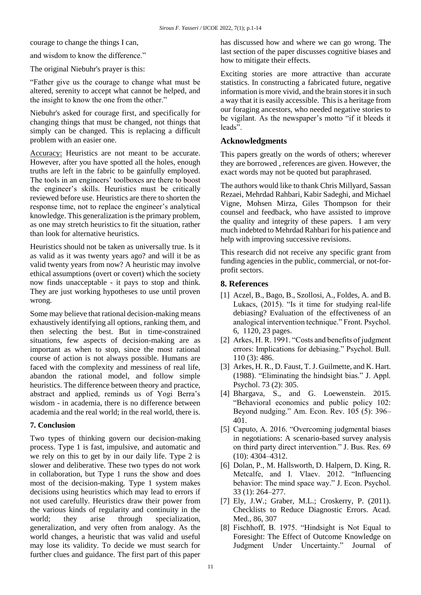courage to change the things I can,

and wisdom to know the difference."

The original Niebuhr's prayer is this:

"Father give us the courage to change what must be altered, serenity to accept what cannot be helped, and the insight to know the one from the other."

Niebuhr's asked for courage first, and specifically for changing things that must be changed, not things that simply can be changed. This is replacing a difficult problem with an easier one.

Accuracy: Heuristics are not meant to be accurate. However, after you have spotted all the holes, enough truths are left in the fabric to be gainfully employed. The tools in an engineers' toolboxes are there to boost the engineer's skills. Heuristics must be critically reviewed before use. Heuristics are there to shorten the response time, not to replace the engineer's analytical knowledge. This generalization is the primary problem, as one may stretch heuristics to fit the situation, rather than look for alternative heuristics.

Heuristics should not be taken as universally true. Is it as valid as it was twenty years ago? and will it be as valid twenty years from now? A heuristic may involve ethical assumptions (overt or covert) which the society now finds unacceptable - it pays to stop and think. They are just working hypotheses to use until proven wrong.

Some may believe that rational decision-making means exhaustively identifying all options, ranking them, and then selecting the best. But in time-constrained situations, few aspects of decision-making are as important as when to stop, since the most rational course of action is not always possible. Humans are faced with the complexity and messiness of real life, abandon the rational model, and follow simple heuristics. The difference between theory and practice, abstract and applied, reminds us of Yogi Berra's wisdom - in academia, there is no difference between academia and the real world; in the real world, there is.

#### **7. Conclusion**

Two types of thinking govern our decision-making process. Type 1 is fast, impulsive, and automatic and we rely on this to get by in our daily life. Type 2 is slower and deliberative. These two types do not work in collaboration, but Type 1 runs the show and does most of the decision-making. Type 1 system makes decisions using heuristics which may lead to errors if not used carefully. Heuristics draw their power from the various kinds of regularity and continuity in the world; they arise through specialization, generalization, and very often from analogy. As the world changes, a heuristic that was valid and useful may lose its validity. To decide we must search for further clues and guidance. The first part of this paper has discussed how and where we can go wrong. The last section of the paper discusses cognitive biases and how to mitigate their effects.

Exciting stories are more attractive than accurate statistics. In constructing a fabricated future, negative information is more vivid, and the brain stores it in such a way that it is easily accessible. This is a heritage from our foraging ancestors, who needed negative stories to be vigilant. As the newspaper's motto "if it bleeds it leads".

#### **Acknowledgments**

This papers greatly on the words of others; wherever they are borrowed , references are given. However, the exact words may not be quoted but paraphrased.

The authors would like to thank Chris Millyard, Sassan Rezaei, Mehrdad Rahbari, Kabir Sadeghi, and Michael Vigne, Mohsen Mirza, Giles Thompson for their counsel and feedback, who have assisted to improve the quality and integrity of these papers. I am very much indebted to Mehrdad Rahbari for his patience and help with improving successive revisions.

This research did not receive any specific grant from funding agencies in the public, commercial, or not-forprofit sectors.

#### **8. References**

- [1] Aczel, B., Bago, B., Szollosi, A., Foldes, A. and B. Lukacs, (2015). "Is it time for studying real-life debiasing? Evaluation of the effectiveness of an analogical intervention technique." Front. Psychol. 6, 1120, 23 pages.
- [2] Arkes, H. R. 1991. "Costs and benefits of judgment errors: Implications for debiasing." Psychol. Bull. 110 (3): 486.
- [3] Arkes, H. R., D. Faust, T. J. Guilmette, and K. Hart. (1988). "Eliminating the hindsight bias." J. Appl. Psychol. 73 (2): 305.
- [4] Bhargava, S., and G. Loewenstein. 2015. "Behavioral economics and public policy 102: Beyond nudging." Am. Econ. Rev. 105 (5): 396– 401.
- [5] Caputo, A. 2016. "Overcoming judgmental biases in negotiations: A scenario-based survey analysis on third party direct intervention." J. Bus. Res. 69 (10): 4304–4312.
- [6] Dolan, P., M. Hallsworth, D. Halpern, D. King, R. Metcalfe, and I. Vlaev. 2012. "Influencing behavior: The mind space way." J. Econ. Psychol. 33 (1): 264–277.
- [7] Ely, J.W.; Graber, M.L.; Croskerry, P. (2011). Checklists to Reduce Diagnostic Errors. Acad. Med., 86, 307
- [8] Fischhoff, B. 1975. "Hindsight is Not Equal to Foresight: The Effect of Outcome Knowledge on Judgment Under Uncertainty." Journal of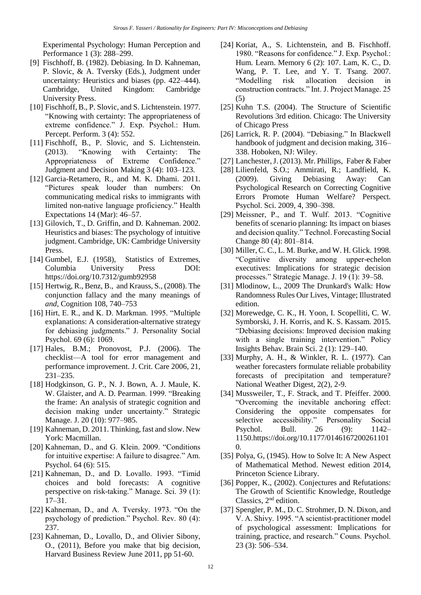Experimental Psychology: Human Perception and Performance 1 (3): 288–299.

- [9] Fischhoff, B. (1982). Debiasing. In D. Kahneman, P. Slovic, & A. Tversky (Eds.), Judgment under uncertainty: Heuristics and biases (pp. 422–444). Cambridge, United Kingdom: Cambridge University Press.
- [10] Fischhoff, B., P. Slovic, and S. Lichtenstein. 1977. "Knowing with certainty: The appropriateness of extreme confidence." J. Exp. Psychol.: Hum. Percept. Perform. 3 (4): 552.
- [11] Fischhoff, B., P. Slovic, and S. Lichtenstein. (2013). "Knowing with Certainty: The Appropriateness of Extreme Confidence." Judgment and Decision Making 3 (4): 103–123.
- [12] Garcia-Retamero, R., and M. K. Dhami. 2011. "Pictures speak louder than numbers: On communicating medical risks to immigrants with limited non-native language proficiency." Health Expectations 14 (Mar): 46–57.
- [13] Gilovich, T., D. Griffin, and D. Kahneman. 2002. Heuristics and biases: The psychology of intuitive judgment. Cambridge, UK: Cambridge University Press.
- [14] Gumbel, E.J. (1958), Statistics of Extremes, Columbia University Press DOI: https://doi.org/10.7312/gumb92958
- [15] Hertwig, R., Benz, B., and Krauss, S., (2008). The conjunction fallacy and the many meanings of *and*, Cognition 108, 740–753
- [16] Hirt, E. R., and K. D. Markman. 1995. "Multiple explanations: A consideration-alternative strategy for debiasing judgments." J. Personality Social Psychol. 69 (6): 1069.
- [17] Hales, B.M.; Pronovost, P.J. (2006). The checklist—A tool for error management and performance improvement. J. Crit. Care 2006, 21, 231–235.
- [18] Hodgkinson, G. P., N. J. Bown, A. J. Maule, K. W. Glaister, and A. D. Pearman. 1999. "Breaking the frame: An analysis of strategic cognition and decision making under uncertainty." Strategic Manage. J. 20 (10): 977–985.
- [19] Kahneman, D. 2011. Thinking, fast and slow. New York: Macmillan.
- [20] Kahneman, D., and G. Klein. 2009. "Conditions for intuitive expertise: A failure to disagree." Am. Psychol. 64 (6): 515.
- [21] Kahneman, D., and D. Lovallo. 1993. "Timid choices and bold forecasts: A cognitive perspective on risk-taking." Manage. Sci. 39 (1): 17–31.
- [22] Kahneman, D., and A. Tversky. 1973. "On the psychology of prediction." Psychol. Rev. 80 (4): 237.
- [23] Kahneman, D., Lovallo, D., and Olivier Sibony, O., (2011), Before you make that big decision, Harvard Business Review June 2011, pp 51-60.
- [24] Koriat, A., S. Lichtenstein, and B. Fischhoff. 1980. "Reasons for confidence." J. Exp. Psychol.: Hum. Learn. Memory 6 (2): 107. Lam, K. C., D. Wang, P. T. Lee, and Y. T. Tsang. 2007. "Modelling risk allocation decision in construction contracts." Int. J. Project Manage. 25 (5)
- [25] Kuhn T.S. (2004). The Structure of Scientific Revolutions 3rd edition. Chicago: The University of Chicago Press
- [26] Larrick, R. P. (2004). "Debiasing." In Blackwell handbook of judgment and decision making, 316– 338. Hoboken, NJ: Wiley.
- [27] Lanchester, J. (2013). Mr. Phillips, Faber & Faber
- [28] Lilienfeld, S.O.; Ammirati, R.; Landfield, K. (2009). Giving Debiasing Away: Can Psychological Research on Correcting Cognitive Errors Promote Human Welfare? Perspect. Psychol. Sci. 2009, 4, 390–398.
- [29] Meissner, P., and T. Wulf. 2013. "Cognitive benefits of scenario planning: Its impact on biases and decision quality." Technol. Forecasting Social Change 80 (4): 801–814.
- [30] Miller, C. C., L. M. Burke, and W. H. Glick. 1998. "Cognitive diversity among upper-echelon executives: Implications for strategic decision processes." Strategic Manage. J. 19 (1): 39–58.
- [31] Mlodinow, L., 2009 The Drunkard's Walk: How Randomness Rules Our Lives, Vintage; Illustrated edition.
- [32] Morewedge, C. K., H. Yoon, I. Scopelliti, C. W. Symborski, J. H. Korris, and K. S. Kassam. 2015. "Debiasing decisions: Improved decision making with a single training intervention." Policy Insights Behav. Brain Sci. 2 (1): 129–140.
- [33] Murphy, A. H., & Winkler, R. L. (1977). Can weather forecasters formulate reliable probability forecasts of precipitation and temperature? National Weather Digest, 2(2), 2-9.
- [34] Mussweiler, T., F. Strack, and T. Pfeiffer. 2000. "Overcoming the inevitable anchoring effect: Considering the opposite compensates for selective accessibility." Personality Social Psychol. Bull. 26 (9): 1142– 1150.https://doi.org/10.1177/0146167200261101 0.
- [35] Polya, G, (1945). How to Solve It: A New Aspect of Mathematical Method. Newest edition 2014, Princeton Science Library.
- [36] Popper, K., (2002). Conjectures and Refutations: The Growth of Scientific Knowledge, Routledge Classics, 2<sup>nd</sup> edition.
- [37] Spengler, P. M., D. C. Strohmer, D. N. Dixon, and V. A. Shivy. 1995. "A scientist-practitioner model of psychological assessment: Implications for training, practice, and research." Couns. Psychol. 23 (3): 506–534.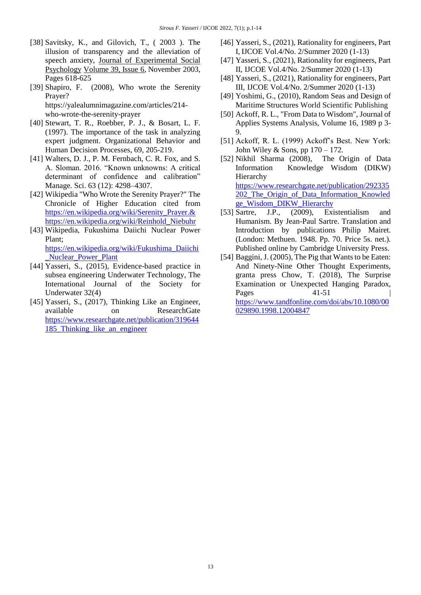- [38] Savitsky, K., and Gilovich, T., ( 2003 ). The illusion of transparency and the alleviation of speech anxiety, [Journal of Experimental Social](https://www.sciencedirect.com/science/journal/00221031)  [Psychology](https://www.sciencedirect.com/science/journal/00221031) [Volume 39, Issue 6,](https://www.sciencedirect.com/science/journal/00221031/39/6) November 2003, Pages 618-625
- [39] Shapiro, F. (2008), Who wrote the Serenity Prayer? https://yalealumnimagazine.com/articles/214 who-wrote-the-serenity-prayer
- [40] Stewart, T. R., Roebber, P. J., & Bosart, L. F. (1997). The importance of the task in analyzing expert judgment. Organizational Behavior and Human Decision Processes, 69, 205-219.
- [41] Walters, D. J., P. M. Fernbach, C. R. Fox, and S. A. Sloman. 2016. "Known unknowns: A critical determinant of confidence and calibration" Manage. Sci. 63 (12): 4298–4307.
- [42] Wikipedia "Who Wrote the Serenity Prayer?" The Chronicle of Higher Education cited from [https://en.wikipedia.org/wiki/Serenity\\_Prayer.&](https://en.wikipedia.org/wiki/Serenity_Prayer.&)  [https://en.wikipedia.org/wiki/Reinhold\\_Niebuhr](https://en.wikipedia.org/wiki/Reinhold_Niebuhr)
- [43] Wikipedia, Fukushima Daiichi Nuclear Power Plant; [https://en.wikipedia.org/wiki/Fukushima\\_Daiichi](https://en.wikipedia.org/wiki/Fukushima_Daiichi_Nuclear_Power_Plant)

[\\_Nuclear\\_Power\\_Plant](https://en.wikipedia.org/wiki/Fukushima_Daiichi_Nuclear_Power_Plant)

- [44] Yasseri, S., (2015), Evidence-based practice in subsea engineering Underwater Technology, The International Journal of the Society for Underwater 32(4)
- [45] Yasseri, S., (2017), Thinking Like an Engineer, available on ResearchGate [https://www.researchgate.net/publication/319644](https://www.researchgate.net/publication/319644185_Thinking_like_an_engineer) [185\\_Thinking\\_like\\_an\\_engineer](https://www.researchgate.net/publication/319644185_Thinking_like_an_engineer)
- [46] Yasseri, S., (2021), Rationality for engineers, Part I, IJCOE Vol.4/No. 2/Summer 2020 (1-13)
- [47] Yasseri, S., (2021), Rationality for engineers, Part II, IJCOE Vol.4/No. 2/Summer 2020 (1-13)
- [48] Yasseri, S., (2021), Rationality for engineers, Part III, IJCOE Vol.4/No. 2/Summer 2020 (1-13)
- [49] Yoshimi, G., (2010), Random Seas and Design of Maritime Structures World Scientific Publishing
- [50] Ackoff, R. L., "From Data to Wisdom", Journal of Applies Systems Analysis, Volume 16, 1989 p 3- 9.
- [51] Ackoff, R. L. (1999) Ackoff's Best. New York: John Wiley & Sons, pp  $170 - 172$ .
- [52] Nikhil Sharma (2008), The Origin of Data Information Knowledge Wisdom (DIKW) Hierarchy [https://www.researchgate.net/publication/292335](https://www.researchgate.net/publication/292335202_The_Origin_of_Data_Information_Knowledge_Wisdom_DIKW_Hierarchy) [202\\_The\\_Origin\\_of\\_Data\\_Information\\_Knowled](https://www.researchgate.net/publication/292335202_The_Origin_of_Data_Information_Knowledge_Wisdom_DIKW_Hierarchy) [ge\\_Wisdom\\_DIKW\\_Hierarchy](https://www.researchgate.net/publication/292335202_The_Origin_of_Data_Information_Knowledge_Wisdom_DIKW_Hierarchy)
- [53] Sartre, J.P., (2009), Existentialism and Humanism. By Jean-Paul Sartre. Translation and Introduction by publications Philip Mairet. (London: Methuen. 1948. Pp. 70. Price 5s. net.). Published online by Cambridge University Press.
- [54] Baggini, J. (2005), The Pig that Wants to be Eaten: And Ninety-Nine Other Thought Experiments, granta press Chow, T. (2018), The Surprise Examination or Unexpected Hanging Paradox, Pages 41-51 [https://www.tandfonline.com/doi/abs/10.1080/00](https://www.tandfonline.com/doi/abs/10.1080/00029890.1998.12004847) [029890.1998.12004847](https://www.tandfonline.com/doi/abs/10.1080/00029890.1998.12004847)